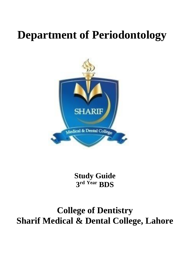# **Department of Periodontology**



**Study Guide 3 rd Year BDS**

# **College of Dentistry Sharif Medical & Dental College, Lahore**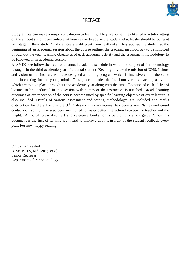

#### PREFACE

Study guides can make a major contribution to learning. They are sometimes likened to a tutor sitting on the student's shoulder-available 24 hours a day to advise the student what he/she should be doing at any stage in their study. Study guides are different from textbooks. They apprise the student at the beginning of an academic session about the course outline, the teaching methodology to be followed throughout the year, learning objectives of each academic activity and the assessment methodology to be followed in an academic session.

At SMDC we follow the traditional annual academic schedule in which the subject of Periodontology is taught in the third academic year of a dental student. Keeping in view the mission of UHS, Lahore and vision of our institute we have designed a training program which is intensive and at the same time interesting for the young minds. This guide includes details about various teaching activities which are to take place throughout the academic year along with the time allocation of each. A list of lectures to be conducted in this session with names of the instructors is attached. Broad learning outcomes of every section of the course accompanied by specific learning objective of every lecture is also included. Details of various assessment and testing methodology are included and marks distribution for the subject in the 3<sup>rd</sup> Professional examinations has been given. Names and email contacts of faculty have also been mentioned to foster better interaction between the teacher and the taught. A list of prescribed text and reference books forms part of this study guide. Since this document is the first of its kind we intend to improve upon it in light of the student-feedback every year. For now, happy reading.

Dr. Usman Rashid B. Sc, B.D.S, MSDent (Perio) Senior Registrar Department of Periodontology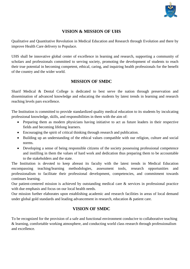

# **VISION & MISSION OF UHS**

Qualitative and Quantitative Revolution in Medical Education and Research through Evolution and there by improve Health Care delivery to Populace.

UHS shall be innovative global center of excellence in learning and research, supporting a community of scholars and professionals committed to serving society, promoting the development of students to reach their true potential in becoming competent, ethical, caring, and inquiring health professionals for the benefit of the country and the wider world.

# **MISSION OF SMDC**

Sharif Medical & Dental College is dedicated to best serve the nation through preservation and dissemination of advanced knowledge and educating the students by latest trends in learning and research reaching levels pars excellence.

The Institution is committed to provide standardized quality medical education to its students by inculcating professional knowledge, skills, and responsibilities in them with the aim of:

- Preparing them as modern physicians having initiative to act as future leaders in their respective fields and becoming lifelong learners.
- Encouraging the spirit of critical thinking through research and publication.
- Building up an understanding of the ethical values compatible with our religion, culture and social norms.
- Developing a sense of being responsible citizens of the society possessing professional competence and instilling in them the values of hard work and dedication thus preparing them to be accountable to the stakeholders and the state.

The Institution is devoted to keep abreast its faculty with the latest trends in Medical Education encompassing teaching/learning methodologies, assessment tools, research opportunities and professionalism to facilitate their professional development, competencies, and commitment towards continues learning.

Our patient-centered mission is achieved by outstanding medical care & services in professional practice with due emphasis and focus on our local health needs.

Our mission further elaborates upon establishing academic and research facilities in areas of local demand under global gold standards and leading advancement in research, education & patient care.

# **VISION OF SMDC**

To be recognized for the provision of a safe and functional environment conducive to collaborative teaching & learning, comfortable working atmosphere, and conducting world class research through professionalism and excellence.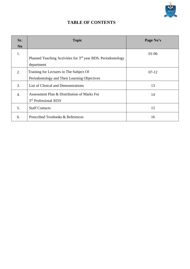

# **TABLE OF CONTENTS**

| Sr.              | <b>Topic</b>                                                                            | Page No's |
|------------------|-----------------------------------------------------------------------------------------|-----------|
| N <sub>0</sub>   |                                                                                         |           |
| 1.               | Planned Teaching Activities for 3 <sup>rd</sup> year BDS, Periodontology<br>department  | $01-06$   |
| 2.               | Training for Lectures in The Subject Of<br>Periodontology and Their Learning Objectives | $07-12$   |
| 3.               | List of Clinical and Demonstrations                                                     | 13        |
| $\overline{4}$ . | Assessment Plan & Distribution of Marks For<br>3rd Professional BDS                     | 14        |
| 5.               | <b>Staff Contacts</b>                                                                   | 15        |
| 6.               | Prescribed Textbooks & References                                                       | 16        |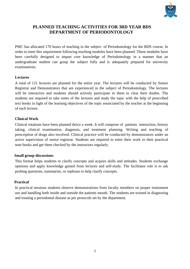

## **PLANNED TEACHING ACTIVITIES FOR 3RD YEAR BDS DEPARTMENT OF PERIODONTOLOGY**

PMC has allocated 170 hours of teaching in the subject of Periodontology for the BDS course. In order to meet this requirement following teaching modules have been planned. These modules have been carefully designed to impart core knowledge of Periodontology in a manner that an undergraduate student can grasp the subject fully and is adequately prepared for university examinations.

#### **Lectures**

A total of 121 lectures are planned for the entire year. The lectures will be conducted by Senior Registrar and Demonstrators that are experienced in the subject of Periodontology. The lectures will be interactive and students should actively participate in them to clear their doubts. The students are required to take notes of the lectures and study the topic with the help of prescribed text books in light of the learning objectives of the topic enunciated by the teacher at the beginning of each lecture.

#### **Clinical Work**

Clinical rotations have been planned thrice a week. It will comprise of patients interaction, history taking, clinical examination, diagnosis, and treatment planning. Writing and teaching of prescription of drugs also involved. Clinical practice will be conducted by demonstrators under an active supervision of senior registrar. Students are required to enter their work in their practical note books and get them checked by the instructors regularly.

#### **Small group discussions**

This format helps students to clarify concepts and acquire skills and attitudes. Students exchange opinions and apply knowledge gained from lectures and self-study. The facilitator role is to ask probing questions, summarize, or rephrase to help clarify concepts.

#### **Practical**

In practical sessions students observe demonstrations from faculty members on proper instrument use and handling both inside and outside the patients mouth. The students are trained in diagnosing and treating a periodontal disease as per protocols set by the department.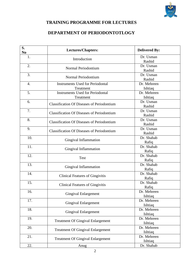

# **TRAINING PROGRAMME FOR LECTURES**

# **DEPARTMENT OF PERIODONTOTLOGY**

| S.<br>N <sub>0</sub> | <b>Lectures/Chapters:</b>                         | <b>Delivered By:</b> |
|----------------------|---------------------------------------------------|----------------------|
| 1.                   | Introduction                                      | Dr. Usman            |
|                      |                                                   | Rashid               |
| 2.                   | Normal Periodontium                               | Dr. Usman            |
|                      |                                                   | Rashid               |
| 3.                   | Normal Periodontium                               | Dr. Usman            |
|                      |                                                   | Rashid               |
| $\overline{4}$ .     | <b>Instruments Used for Periodontal</b>           | Dr. Mehreen          |
|                      | Treatment                                         | Ishtiaq              |
| 5.                   | <b>Instruments Used for Periodontal</b>           | Dr. Mehreen          |
|                      | Treatment                                         | Ishtiaq              |
| 6.                   | <b>Classification Of Diseases of Periodontium</b> | Dr. Usman            |
|                      |                                                   | Rashid               |
| 7.                   | <b>Classification Of Diseases of Periodontium</b> | Dr. Usman            |
|                      |                                                   | Rashid               |
| 8.                   | <b>Classification Of Diseases of Periodontium</b> | Dr. Usman            |
|                      |                                                   | Rashid               |
| 9.                   | <b>Classification Of Diseases of Periodontium</b> | Dr. Usman            |
|                      |                                                   | Rashid               |
| 10.                  | Gingival Inflammation                             | Dr. Shahab           |
|                      |                                                   | Rafiq                |
| 11.                  | Gingival Inflammation                             | Dr. Shahab           |
|                      |                                                   | Rafiq                |
| 12.                  | <b>Test</b>                                       | Dr. Shahab           |
|                      |                                                   | Rafiq                |
| 13.                  | Gingival Inflammation                             | Dr. Shahab           |
|                      |                                                   | Rafiq<br>Dr. Shahab  |
| 14.                  | <b>Clinical Features of Gingivitis</b>            |                      |
| 15.                  |                                                   | Rafiq                |
|                      | <b>Clinical Features of Gingivitis</b>            | Dr. Shahab           |
|                      |                                                   | Rafiq<br>Dr. Mehreen |
| 16.                  | Gingival Enlargement                              | Ishtiaq              |
| 17.                  |                                                   | Dr. Mehreen          |
|                      | <b>Gingival Enlargement</b>                       | Ishtiaq              |
| 18.                  |                                                   | Dr. Mehreen          |
|                      | <b>Gingival Enlargement</b>                       | Ishtiaq              |
| 19.                  |                                                   | Dr. Mehreen          |
|                      | <b>Treatment Of Gingival Enlargement</b>          | Ishtiaq              |
| 20.                  |                                                   | Dr. Mehreen          |
|                      | <b>Treatment Of Gingival Enlargement</b>          | Ishtiaq              |
| 21.                  |                                                   | Dr. Mehreen          |
|                      | <b>Treatment Of Gingival Enlargement</b>          | Ishtiaq              |
| 22.                  | Anug                                              | Dr. Shahab           |
|                      |                                                   |                      |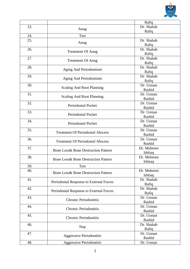

|     |                                                 | Rafiq       |
|-----|-------------------------------------------------|-------------|
| 23. | Anug                                            | Dr. Shahab  |
|     |                                                 | Rafiq       |
| 24. | Test                                            |             |
| 25. | Anug                                            | Dr. Shahab  |
|     |                                                 | Rafiq       |
| 26. | <b>Treatment Of Anug</b>                        | Dr. Shahab  |
|     |                                                 | Rafiq       |
| 27. | <b>Treatment Of Anug</b>                        | Dr. Shahab  |
|     |                                                 | Rafiq       |
| 28. | Aging And Periodontium                          | Dr. Shahab  |
|     |                                                 | Rafiq       |
| 29. | Aging And Periodontium                          | Dr. Shahab  |
|     |                                                 | Rafiq       |
| 30. | <b>Scaling And Root Planning</b>                | Dr. Usman   |
|     |                                                 | Rashid      |
| 31. | <b>Scaling And Root Planning</b>                | Dr. Usman   |
|     |                                                 | Rashid      |
| 32. | Periodontal Pocket                              | Dr. Usman   |
|     |                                                 | Rashid      |
| 33. | <b>Periodontal Pocket</b>                       | Dr. Usman   |
|     |                                                 | Rashid      |
| 34. | <b>Periodontal Pocket</b>                       | Dr. Usman   |
|     |                                                 | Rashid      |
| 35. | <b>Treatment Of Periodontal Abscess</b>         | Dr. Usman   |
|     |                                                 | Rashid      |
| 36. | <b>Treatment Of Periodontal Abscess</b>         | Dr. Usman   |
|     |                                                 | Rashid      |
| 37. | Bone Loss & Bone Destruction Pattern            | Dr. Mehreen |
|     |                                                 | Ishtiaq     |
| 38. | Bone Loss & Bone Destruction Pattern            | Dr. Mehreen |
|     |                                                 | Ishtiaq     |
| 39. | Test                                            |             |
| 40. | <b>Bone Loss &amp; Bone Destruction Pattern</b> | Dr. Mehreen |
|     |                                                 | Ishtiaq     |
| 41. | Periodontal Response to External Forces         | Dr. Shahab  |
|     |                                                 | Rafiq       |
| 42. | Periodontal Response to External Forces         | Dr. Shahab  |
|     |                                                 | Rafiq       |
| 43. | Chronic Periodontitis                           | Dr. Usman   |
|     |                                                 | Rashid      |
| 44. | Chronic Periodontitis                           | Dr. Usman   |
|     |                                                 | Rashid      |
| 45. | Chronic Periodontitis                           | Dr. Usman   |
|     |                                                 | Rashid      |
| 46. |                                                 | Dr. Shahab  |
|     | Nup                                             | Rafiq       |
| 47. |                                                 | Dr. Usman   |
|     | <b>Aggressive Periodontitis</b>                 | Rashid      |
| 48. | <b>Aggressive Periodontitis</b>                 | Dr. Usman   |
|     |                                                 |             |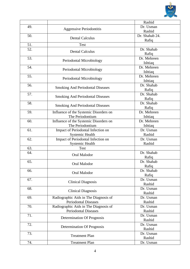

|     |                                                              | Rashid              |
|-----|--------------------------------------------------------------|---------------------|
| 49. | <b>Aggressive Periodontitis</b>                              | Dr. Usman           |
|     |                                                              | Rashid              |
| 50. | <b>Dental Calculus</b>                                       | Dr. Shahab 24.      |
|     |                                                              | Rafiq               |
| 51. | Test                                                         |                     |
| 52. | <b>Dental Calculus</b>                                       | Dr. Shahab          |
|     |                                                              | Rafiq               |
| 53. | Periodontal Microbiology                                     | Dr. Mehreen         |
|     |                                                              | Ishtiaq             |
| 54. | Periodontal Microbiology                                     | Dr. Mehreen         |
|     |                                                              | Ishtiaq             |
| 55. | Periodontal Microbiology                                     | Dr. Mehreen         |
|     |                                                              | Ishtiaq             |
| 56. | <b>Smoking And Periodontal Diseases</b>                      | Dr. Shahab          |
|     |                                                              | Rafiq               |
| 57. | <b>Smoking And Periodontal Diseases</b>                      | Dr. Shahab          |
|     |                                                              | Rafiq               |
| 58. | <b>Smoking And Periodontal Diseases</b>                      | Dr. Shahab          |
|     |                                                              | Rafiq               |
| 59. | Influence of the Systemic Disorders on                       | Dr. Mehreen         |
|     | The Periodontium                                             | Ishtiaq             |
| 60. | Influence of the Systemic Disorders on<br>The Periodontium   | Dr. Mehreen         |
|     |                                                              | Ishtiaq             |
| 61. | Impact of Periodontal Infection on                           | Dr. Usman<br>Rashid |
| 62. | <b>Systemic Health</b><br>Impact of Periodontal Infection on | Dr. Usman           |
|     | <b>Systemic Health</b>                                       | Rashid              |
| 63. | <b>Test</b>                                                  |                     |
| 64. |                                                              | Dr. Shahab          |
|     | Oral Malodor                                                 | Rafiq               |
| 65. |                                                              | Dr. Shahab          |
|     | Oral Malodor                                                 | Rafiq               |
| 66. |                                                              | Dr. Shahab          |
|     | Oral Malodor                                                 | Rafiq               |
| 67. |                                                              | Dr. Usman           |
|     | <b>Clinical Diagnosis</b>                                    | Rashid              |
| 68. |                                                              | Dr. Usman           |
|     | <b>Clinical Diagnosis</b>                                    | Rashid              |
| 69. | Radiographic Aids in The Diagnosis of                        | Dr. Usman           |
|     | <b>Periodontal Diseases</b>                                  | Rashid              |
| 70. | Radiographic Aids in The Diagnosis of                        | Dr. Usman           |
|     | <b>Periodontal Diseases</b>                                  | Rashid              |
| 71. |                                                              | Dr. Usman           |
|     | Determination Of Prognosis                                   | Rashid              |
| 72. | Determination Of Prognosis                                   | Dr. Usman           |
|     |                                                              | Rashid              |
| 73. | <b>Treatment Plan</b>                                        | Dr. Usman           |
|     |                                                              | Rashid              |
| 74. | <b>Treatment Plan</b>                                        | Dr. Usman           |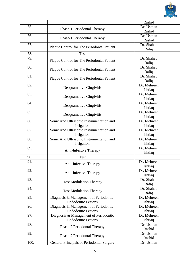

|      |                                            | Rashid                 |
|------|--------------------------------------------|------------------------|
| 75.  | Phase-1 Periodontal Therapy                | Dr. Usman<br>Rashid    |
| 76.  | Phase-1 Periodontal Therapy                | Dr. Usman              |
| 77.  |                                            | Rashid<br>Dr. Shahab   |
|      | Plaque Control for The Periodontal Patient | Rafiq                  |
| 78.  | <b>Test</b>                                |                        |
| 79.  | Plaque Control for The Periodontal Patient | Dr. Shahab<br>Rafiq    |
| 80.  | Plaque Control for The Periodontal Patient | Dr. Shahab<br>Rafiq    |
| 81.  | Plaque Control for The Periodontal Patient | Dr. Shahab             |
| 82.  |                                            | Rafiq<br>Dr. Mehreen   |
|      | Desquamative Gingivitis                    | Ishtiaq                |
| 83.  |                                            | Dr. Mehreen            |
|      | Desquamative Gingivitis                    | Ishtiaq                |
| 84.  |                                            | Dr. Mehreen            |
|      | Desquamative Gingivitis                    | Ishtiaq                |
| 85.  |                                            | Dr. Mehreen            |
|      | Desquamative Gingivitis                    | Ishtiaq                |
| 86.  | Sonic And Ultrasonic Instrumentation and   | Dr. Mehreen            |
|      | Irrigation                                 | Ishtiaq                |
| 87.  | Sonic And Ultrasonic Instrumentation and   | Dr. Mehreen            |
|      | Irrigation                                 | Ishtiaq                |
| 88.  | Sonic And Ultrasonic Instrumentation and   | Dr. Mehreen            |
|      | Irrigation                                 | Ishtiaq                |
| 89.  | Anti-Infective Therapy                     | Dr. Mehreen<br>Ishtiaq |
| 90.  | <b>Test</b>                                |                        |
| 91.  |                                            | Dr. Mehreen            |
|      | Anti-Infective Therapy                     | Ishtiaq                |
| 92.  |                                            | Dr. Mehreen            |
|      | Anti-Infective Therapy                     | Ishtiaq                |
| 93.  | <b>Host Modulation Therapy</b>             | Dr. Shahab             |
|      |                                            | Rafiq                  |
| 94.  | <b>Host Modulation Therapy</b>             | Dr. Shahab             |
|      |                                            | Rafiq                  |
| 95.  | Diagnosis & Management of Periodontic-     | Dr. Mehreen            |
|      | <b>Endodontic Lesions</b>                  | Ishtiaq                |
| 96.  | Diagnosis & Management of Periodontic-     | Dr. Mehreen            |
|      | <b>Endodontic Lesions</b>                  | Ishtiaq                |
| 97.  | Diagnosis & Management of Periodontic      | Dr. Mehreen            |
|      | <b>Endodontic Lesions</b>                  | Ishtiaq<br>Dr. Usman   |
| 98.  | Phase-2 Periodontal Therapy                | Rashid                 |
| 99.  |                                            | Dr. Usman              |
|      | Phase-2 Periodontal Therapy                | Rashid                 |
| 100. | General Principals of Periodontal Surgery  | Dr. Usman              |
|      |                                            |                        |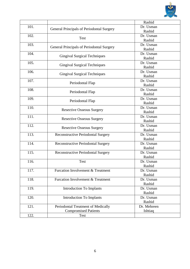

|      |                                                  | Rashid      |
|------|--------------------------------------------------|-------------|
| 101. |                                                  | Dr. Usman   |
|      | <b>General Principals of Periodontal Surgery</b> | Rashid      |
| 102. |                                                  | Dr. Usman   |
|      | Test                                             | Rashid      |
| 103. |                                                  | Dr. Usman   |
|      | General Principals of Periodontal Surgery        | Rashid      |
| 104. |                                                  | Dr. Usman   |
|      | <b>Gingival Surgical Techniques</b>              | Rashid      |
| 105. | <b>Gingival Surgical Techniques</b>              | Dr. Usman   |
|      |                                                  | Rashid      |
| 106. |                                                  | Dr. Usman   |
|      | <b>Gingival Surgical Techniques</b>              | Rashid      |
| 107. | Periodontal Flap                                 | Dr. Usman   |
|      |                                                  | Rashid      |
| 108. | Periodontal Flap                                 | Dr. Usman   |
|      |                                                  | Rashid      |
| 109. | Periodontal Flap                                 | Dr. Usman   |
|      |                                                  | Rashid      |
| 110. | <b>Resective Osseous Surgery</b>                 | Dr. Usman   |
|      |                                                  | Rashid      |
| 111. |                                                  | Dr. Usman   |
|      | <b>Resective Osseous Surgery</b>                 | Rashid      |
| 112. |                                                  | Dr. Usman   |
|      | <b>Resective Osseous Surgery</b>                 | Rashid      |
| 113. | <b>Reconstructive Periodontal Surgery</b>        | Dr. Usman   |
|      |                                                  | Rashid      |
| 114. | Reconstructive Periodontal Surgery               | Dr. Usman   |
|      |                                                  | Rashid      |
| 115. | <b>Reconstructive Periodontal Surgery</b>        | Dr. Usman   |
|      |                                                  | Rashid      |
| 116. | Test                                             | Dr. Usman   |
|      |                                                  | Rashid      |
| 117. | Furcation Involvement & Treatment                | Dr. Usman   |
|      |                                                  | Rashid      |
| 118. | <b>Furcation Involvement &amp; Treatment</b>     | Dr. Usman   |
|      |                                                  | Rashid      |
| 119. | <b>Introduction To Implants</b>                  | Dr. Usman   |
|      |                                                  | Rashid      |
| 120. | <b>Introduction To Implants</b>                  | Dr. Usman   |
|      |                                                  | Rashid      |
| 121. | Periodontal Treatment of Medically               | Dr. Mehreen |
|      | <b>Compromised Patients</b>                      | Ishtiaq     |
| 122. | Test                                             |             |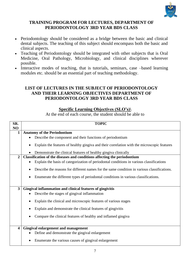

# **TRAINING PROGRAM FOR LECTURES, DEPARTMENT OF PERIODONTOLOGY 3RD YEAR BDS CLASS**

- Periodontology should be considered as a bridge between the basic and clinical dental subjects. The teaching of this subject should encompass both the basic and clinical aspects.
- Teaching of Periodontology should be integrated with other subjects that is Oral Medicine, Oral Pathology, Microbiology, and clinical disciplines wherever possible.
- Interactive modes of teaching, that is tutorials, seminars, case –based learning modules etc. should be an essential part of teaching methodology.

# **LIST OF LECTURES IN THE SUBJECT OF PERIODONTOLOGY AND THEIR LEARNING OBJECTIVES DEPARTMENT OF PERIODONTOLOGY 3RD YEAR BDS CLASS**

# **Specific Learning Objectives (SLO's)\**

At the end of each course, the student should be able to

| SR.            | <b>TOPIC</b>                                                                                |
|----------------|---------------------------------------------------------------------------------------------|
| NO             |                                                                                             |
| $\mathbf{1}$   | <b>Anatomy of the Periodontium</b>                                                          |
|                | Describe the component and their functions of periodontium                                  |
|                | Explain the features of healthy gingiva and their correlation with the microscopic features |
|                | Demonstrate the clinical features of healthy gingiva clinically                             |
| $\overline{2}$ | Classification of the diseases and conditions affecting the periodontium                    |
|                | Explain the basis of categorization of periodontal conditions in various classifications    |
|                |                                                                                             |
|                | Describe the reasons for different names for the same condition in various classifications. |
|                | Enumerate the different types of periodontal conditions in various classifications.         |
|                |                                                                                             |
|                |                                                                                             |
| 3              | Gingival inflammation and clinical features of gingivitis                                   |
|                | Describe the stages of gingival inflammation                                                |
|                |                                                                                             |
|                | Explain the clinical and microscopic features of various stages                             |
|                | Explain and demonstrate the clinical features of gingivitis                                 |
|                |                                                                                             |
|                | Compare the clinical features of healthy and inflamed gingiva                               |
|                |                                                                                             |
| 4              | Gingival enlargement and management                                                         |
|                | Define and demonstrate the gingival enlargement                                             |
|                |                                                                                             |
|                | Enumerate the various causes of gingival enlargement                                        |
|                |                                                                                             |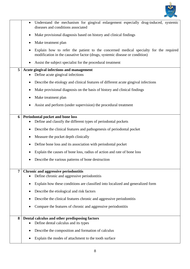

|                | Understand the mechanism for gingival enlargement especially drug-induced, systemic<br>$\bullet$<br>diseases and conditions associated                              |
|----------------|---------------------------------------------------------------------------------------------------------------------------------------------------------------------|
|                | Make provisional diagnosis based on history and clinical findings                                                                                                   |
|                | Make treatment plan                                                                                                                                                 |
|                | Explain how to refer the patient to the concerned medical specialty for the required<br>modification in the causative factor (drugs, systemic disease or condition) |
|                | Assist the subject specialist for the procedural treatment<br>$\bullet$                                                                                             |
| 5              | Acute gingival infections and management<br>Define acute gingival infections                                                                                        |
|                | Describe the etiology and clinical features of different acute gingival infections                                                                                  |
|                | Make provisional diagnosis on the basis of history and clinical findings                                                                                            |
|                | Make treatment plan                                                                                                                                                 |
|                | Assist and perform (under supervision) the procedural treatment                                                                                                     |
| 6              | Periodontal pocket and bone loss                                                                                                                                    |
|                | Define and classify the different types of periodontal pockets                                                                                                      |
|                | Describe the clinical features and pathogenesis of periodontal pocket<br>٠                                                                                          |
|                | Measure the pocket depth clinically                                                                                                                                 |
|                | Define bone loss and its association with periodontal pocket                                                                                                        |
|                | Explain the causes of bone loss, radius of action and rate of bone loss                                                                                             |
|                | Describe the various patterns of bone destruction                                                                                                                   |
| $\overline{7}$ | <b>Chronic and aggressive periodontitis</b>                                                                                                                         |
|                | Define chronic and aggressive periodontitis                                                                                                                         |
|                | Explain how these conditions are classified into localized and generalized form                                                                                     |
|                | Describe the etiological and risk factors<br>$\bullet$                                                                                                              |
|                | Describe the clinical features chronic and aggressive periodontitis                                                                                                 |
|                | Compare the features of chronic and aggressive periodontitis<br>$\bullet$                                                                                           |
| 8              | Dental calculus and other predisposing factors                                                                                                                      |
|                | Define dental calculus and its types                                                                                                                                |
|                | Describe the composition and formation of calculus                                                                                                                  |
|                | Explain the modes of attachment to the tooth surface                                                                                                                |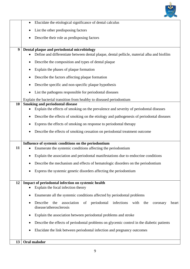

|    | Elucidate the etiological significance of dental calculus                                                                                |
|----|------------------------------------------------------------------------------------------------------------------------------------------|
|    | List the other predisposing factors                                                                                                      |
|    | Describe their role as predisposing factors                                                                                              |
| 9  | Dental plaque and periodontal microbiology<br>Define and differentiate between dental plaque, dental pellicle, material alba and biofilm |
|    | Describe the composition and types of dental plaque                                                                                      |
|    | Explain the phases of plaque formation                                                                                                   |
|    | Describe the factors affecting plaque formation                                                                                          |
|    | Describe specific and non-specific plaque hypothesis                                                                                     |
|    | List the pathogens responsible for periodontal diseases                                                                                  |
|    | Explain the bacterial transition from healthy to diseased periodontium                                                                   |
| 10 | <b>Smoking and periodontal disease</b><br>Explain the effects of smoking on the prevalence and severity of periodontal diseases          |
|    | Describe the effects of smoking on the etiology and pathogenesis of periodontal diseases                                                 |
|    | Express the effects of smoking on response to periodontal therapy                                                                        |
|    | Describe the effects of smoking cessation on periodontal treatment outcome                                                               |
|    |                                                                                                                                          |
|    | Influence of systemic conditions on the periodontium                                                                                     |
| 11 | Enumerate the systemic conditions affecting the periodontium                                                                             |
|    | Explain the association and periodontal manifestations due to endocrine conditions                                                       |
|    | Describe the mechanism and effects of hematologic disorders on the periodontium                                                          |
|    | Express the systemic genetic disorders affecting the periodontium                                                                        |
| 12 | Impact of periodontal infection on systemic health<br>Explain the focal infection theory                                                 |
|    | Enumerate all the systemic conditions affected by periodontal problems                                                                   |
|    | association of periodontal infections with the<br>Describe<br>the<br>coronary<br>heart<br>disease/atherosclerosis                        |
|    | Explain the association between periodontal problems and stroke                                                                          |
|    | Describe the effects of periodontal problems on glycemic control in the diabetic patients                                                |
|    | Elucidate the link between periodontal infection and pregnancy outcomes                                                                  |
| 13 | Oral malodor                                                                                                                             |
|    |                                                                                                                                          |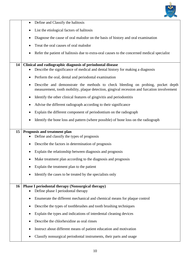

|    | Define and Classify the halitosis<br>$\bullet$                                                                                                                                 |
|----|--------------------------------------------------------------------------------------------------------------------------------------------------------------------------------|
|    | List the etiological factors of halitosis<br>$\bullet$                                                                                                                         |
|    | Diagnose the cause of oral malodor on the basis of history and oral examination<br>٠                                                                                           |
|    | Treat the oral causes of oral malodor                                                                                                                                          |
|    | Refer the patient of halitosis due to extra-oral causes to the concerned medical specialist<br>٠                                                                               |
| 14 | Clinical and radiographic diagnosis of periodontal disease                                                                                                                     |
|    | Describe the significance of medical and dental history for making a diagnosis                                                                                                 |
|    | Perform the oral, dental and periodontal examination<br>٠                                                                                                                      |
|    | Describe and demonstrate the methods to check bleeding on probing, pocket depth<br>measurement, tooth mobility, plaque detection, gingival recession and furcation involvement |
|    | Identify the other clinical features of gingivitis and periodontitis<br>$\bullet$                                                                                              |
|    | Advise the different radiograph according to their significance                                                                                                                |
|    | Explain the different component of periodontium on the radiograph                                                                                                              |
|    | Identify the bone loss and pattern (where possible) of bone loss on the radiograph<br>٠                                                                                        |
| 15 | Prognosis and treatment plan                                                                                                                                                   |
|    | Define and classify the types of prognosis                                                                                                                                     |
|    | Describe the factors in determination of prognosis                                                                                                                             |
|    | Explain the relationship between diagnosis and prognosis                                                                                                                       |
|    | Make treatment plan according to the diagnosis and prognosis                                                                                                                   |
|    | Explain the treatment plan to the patient                                                                                                                                      |
|    | Identify the cases to be treated by the specialists only                                                                                                                       |
| 16 | Phase I periodontal therapy (Nonsurgical therapy)                                                                                                                              |
|    | Define phase I periodontal therapy                                                                                                                                             |
|    | Enumerate the different mechanical and chemical means for plaque control                                                                                                       |
|    | Describe the types of toothbrushes and tooth brushing techniques                                                                                                               |
|    | Explain the types and indications of interdental cleaning devices                                                                                                              |
|    | Describe the chlorhexidine as oral rinses                                                                                                                                      |
|    | Instruct about different means of patient education and motivation                                                                                                             |
|    | Classify nonsurgical periodontal instruments, their parts and usage                                                                                                            |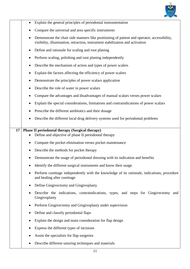

|    | Explain the general principles of periodontal instrumentation                                                                                                                |
|----|------------------------------------------------------------------------------------------------------------------------------------------------------------------------------|
|    | Compare the universal and area specific instruments                                                                                                                          |
|    | Demonstrate the chair side manners like positioning of patient and operator, accessibility,<br>visibility, illumination, retraction, instrument stabilization and activation |
|    | Define and rationale for scaling and root planing<br>٠                                                                                                                       |
|    | Perform scaling, polishing and root planing independently<br>٠                                                                                                               |
|    | Describe the mechanism of action and types of power scalers<br>٠                                                                                                             |
|    | Explain the factors affecting the efficiency of power scalers<br>٠                                                                                                           |
|    | Demonstrate the principles of power scalars application<br>٠                                                                                                                 |
|    | Describe the role of water in power scalars<br>٠                                                                                                                             |
|    | Compare the advantages and disadvantages of manual scalars verses power scalars                                                                                              |
|    | Explain the special considerations, limitations and contraindications of power scalars                                                                                       |
|    | Prescribe the different antibiotics and their dosage                                                                                                                         |
|    | Describe the different local drug delivery systems used for periodontal problems                                                                                             |
| 17 | Phase II periodontal therapy (Surgical therapy)<br>Define and objective of phase II periodontal therapy                                                                      |
|    | Compare the pocket elimination verses pocket maintenance                                                                                                                     |
|    | Describe the methods for pocket therapy                                                                                                                                      |
|    | Demonstrate the usage of periodontal dressing with its indication and benefits                                                                                               |
|    | Identify the different surgical instruments and know their usage                                                                                                             |
|    | Perform curettage independently with the knowledge of its rationale, indications, procedure<br>and healing after curettage                                                   |
|    | Define Gingivectomy and Gingivoplasty                                                                                                                                        |
|    | Describe the indications, contraindications, types, and steps for Gingivectomy and<br>Gingivoplasty                                                                          |
|    | Perform Gingivectomy and Gingivoplasty under supervision                                                                                                                     |
|    | Define and classify periodontal flaps                                                                                                                                        |
|    | Explain the design and main consideration for flap design                                                                                                                    |
|    | Express the different types of incisions                                                                                                                                     |
|    | Assist the specialists for flap surgeries                                                                                                                                    |
|    | Describe different suturing techniques and materials                                                                                                                         |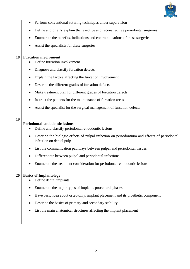

|    | Perform conventional suturing techniques under supervision<br>$\bullet$                                                                                                                                                                                                                                                                                                                                                           |
|----|-----------------------------------------------------------------------------------------------------------------------------------------------------------------------------------------------------------------------------------------------------------------------------------------------------------------------------------------------------------------------------------------------------------------------------------|
|    | Define and briefly explain the resective and reconstructive periodontal surgeries                                                                                                                                                                                                                                                                                                                                                 |
|    | Enumerate the benefits, indications and contraindications of these surgeries                                                                                                                                                                                                                                                                                                                                                      |
|    | Assist the specialists for these surgeries                                                                                                                                                                                                                                                                                                                                                                                        |
|    |                                                                                                                                                                                                                                                                                                                                                                                                                                   |
| 18 | <b>Furcation involvement</b><br>Define furcation involvement                                                                                                                                                                                                                                                                                                                                                                      |
|    | Diagnose and classify furcation defects                                                                                                                                                                                                                                                                                                                                                                                           |
|    | Explain the factors affecting the furcation involvement<br>٠                                                                                                                                                                                                                                                                                                                                                                      |
|    | Describe the different grades of furcation defects                                                                                                                                                                                                                                                                                                                                                                                |
|    |                                                                                                                                                                                                                                                                                                                                                                                                                                   |
|    | Make treatment plan for different grades of furcation defects                                                                                                                                                                                                                                                                                                                                                                     |
|    | Instruct the patients for the maintenance of furcation areas                                                                                                                                                                                                                                                                                                                                                                      |
|    | Assist the specialist for the surgical management of furcation defects                                                                                                                                                                                                                                                                                                                                                            |
| 19 | Periodontal-endodontic lesions<br>Define and classify periodontal-endodontic lesions<br>Describe the biologic effects of pulpal infection on periodontium and effects of periodontal<br>infection on dental pulp<br>List the communication pathways between pulpal and periodontal tissues<br>Differentiate between pulpal and periodontal infections<br>Enumerate the treatment consideration for periodontal-endodontic lesions |
| 20 | <b>Basics of Implantology</b><br>Define dental implants<br>Enumerate the major types of implants procedural phases<br>٠<br>Have basic idea about osteotomy, implant placement and its prosthetic component<br>Describe the basics of primary and secondary stability<br>List the main anatomical structures affecting the implant placement                                                                                       |
|    |                                                                                                                                                                                                                                                                                                                                                                                                                                   |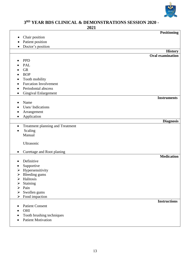

#### **3 RD YEAR BDS CLINICAL & DEMONSTRATIONS SESSION 2020 -**

**2021**

|                                             |                                  | <b>Positioning</b>      |
|---------------------------------------------|----------------------------------|-------------------------|
| Chair position                              |                                  |                         |
| Patient position                            |                                  |                         |
| Doctor's position                           |                                  |                         |
|                                             |                                  | <b>History</b>          |
|                                             |                                  | <b>Oral examination</b> |
| <b>PPD</b>                                  |                                  |                         |
| PAL                                         |                                  |                         |
| <b>GR</b>                                   |                                  |                         |
| <b>BOP</b>                                  |                                  |                         |
| Tooth mobility                              |                                  |                         |
|                                             | <b>Furcation Involvement</b>     |                         |
| Periodontal abscess<br>٠                    |                                  |                         |
|                                             | <b>Gingival Enlargement</b>      |                         |
|                                             |                                  | <b>Instruments</b>      |
| Name                                        |                                  |                         |
| Uses/Indications                            |                                  |                         |
| Arrangement                                 |                                  |                         |
| Application<br>$\bullet$                    |                                  |                         |
|                                             |                                  | <b>Diagnosis</b>        |
| $\bullet$                                   | Treatment planning and Treatment |                         |
| Scaling                                     |                                  |                         |
| Manual                                      |                                  |                         |
|                                             |                                  |                         |
| Ultrasonic                                  |                                  |                         |
|                                             |                                  |                         |
|                                             | Curettage and Root planing       | <b>Medication</b>       |
| Definitive                                  |                                  |                         |
|                                             |                                  |                         |
| Supportive<br>Hypersensitivity              |                                  |                         |
| ➤<br>Bleeding gums<br>$\blacktriangleright$ |                                  |                         |
| Halitosis<br>➤                              |                                  |                         |
| Staining<br>➤                               |                                  |                         |
| Pain<br>➤                                   |                                  |                         |
| Swollen gums<br>➤                           |                                  |                         |
| Food impaction<br>➤                         |                                  |                         |
|                                             |                                  | <b>Instructions</b>     |
| <b>Patient Consent</b>                      |                                  |                         |
| OHI                                         |                                  |                         |
|                                             | Tooth brushing techniques        |                         |
| <b>Patient Motivation</b><br>$\bullet$      |                                  |                         |
|                                             |                                  |                         |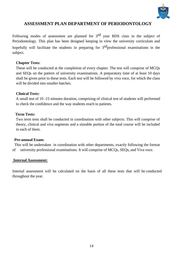

#### **ASSESSMENT PLAN DEPARTMENT OF PERIODONTOLOGY**

Following modes of assessment are planned for 3<sup>rd</sup> year BDS class in the subject of Periodontology. This plan has been designed keeping in view the university curriculum and hopefully will facilitate the students in preparing for  $3<sup>rd</sup>$  professional examinations in the subject.

#### **Chapter Tests:**

These will be conducted at the completion of every chapter. The test will comprise of MCQs and SEQs on the pattern of university examinations. A preparatory time of at least 10 days shall be given prior to these tests. Each test will be followed by viva voce, for which the class will be divided into smaller batches.

#### **Clinical Tests:**

A small test of 10 -15 minutes duration, comprising of clinical test of students will performed to check the confidence and the way students reach to patients.

#### **Term Tests:**

Two term tests shall be conducted in coordination with other subjects. This will comprise of theory, clinical and viva segments and a sizeable portion of the total course will be included in each of them.

#### **Pre-annual Exam:**

 This will be undertaken in coordination with other departments, exactly following the format of university professional examinations. It will comprise of MCQs, SEQs, and Viva voce.

#### **Internal Assessment:**

Internal assessment will be calculated on the basis of all these tests that will be conducted throughout the year.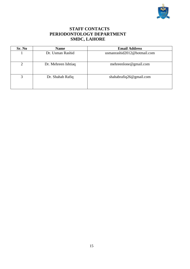

# **STAFF CONTACTS PERIODONTOLOGY DEPARTMENT SMDC, LAHORE**

| Sr. No | <b>Name</b>         | <b>Email Address</b>        |  |  |
|--------|---------------------|-----------------------------|--|--|
|        | Dr. Usman Rashid    | usmanrashid2012@hotmail.com |  |  |
| ◠      | Dr. Mehreen Ishtiaq | mehreenlone@gmail.com       |  |  |
| 3      | Dr. Shahab Rafiq    | shahabrafiq26@gmail.com     |  |  |